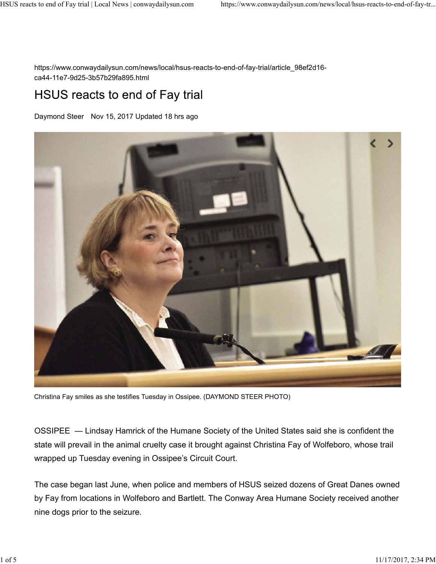https://www.conwaydailysun.com/news/local/hsus-reacts-to-end-of-fay-trial/article\_98ef2d16 ca44-11e7-9d25-3b57b29fa895.html

## HSUS reacts to end of Fay trial

Daymond Steer Nov 15, 2017 Updated 18 hrs ago



Christina Fay smiles as she testifies Tuesday in Ossipee. (DAYMOND STEER PHOTO)

OSSIPEE — Lindsay Hamrick of the Humane Society of the United States said she is confident the state will prevail in the animal cruelty case it brought against Christina Fay of Wolfeboro, whose trail wrapped up Tuesday evening in Ossipee's Circuit Court.

The case began last June, when police and members of HSUS seized dozens of Great Danes owned by Fay from locations in Wolfeboro and Bartlett. The Conway Area Humane Society received another nine dogs prior to the seizure.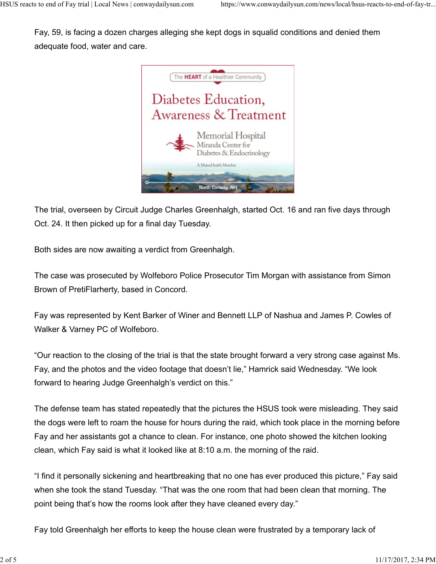Fay, 59, is facing a dozen charges alleging she kept dogs in squalid conditions and denied them adequate food, water and care.



The trial, overseen by Circuit Judge Charles Greenhalgh, started Oct. 16 and ran five days through Oct. 24. It then picked up for a final day Tuesday.

Both sides are now awaiting a verdict from Greenhalgh.

The case was prosecuted by Wolfeboro Police Prosecutor Tim Morgan with assistance from Simon Brown of PretiFlarherty, based in Concord.

Fay was represented by Kent Barker of Winer and Bennett LLP of Nashua and James P. Cowles of Walker & Varney PC of Wolfeboro.

"Our reaction to the closing of the trial is that the state brought forward a very strong case against Ms. Fay, and the photos and the video footage that doesn't lie," Hamrick said Wednesday. "We look forward to hearing Judge Greenhalgh's verdict on this."

The defense team has stated repeatedly that the pictures the HSUS took were misleading. They said the dogs were left to roam the house for hours during the raid, which took place in the morning before Fay and her assistants got a chance to clean. For instance, one photo showed the kitchen looking clean, which Fay said is what it looked like at 8:10 a.m. the morning of the raid.

"I find it personally sickening and heartbreaking that no one has ever produced this picture," Fay said when she took the stand Tuesday. "That was the one room that had been clean that morning. The point being that's how the rooms look after they have cleaned every day."

Fay told Greenhalgh her efforts to keep the house clean were frustrated by a temporary lack of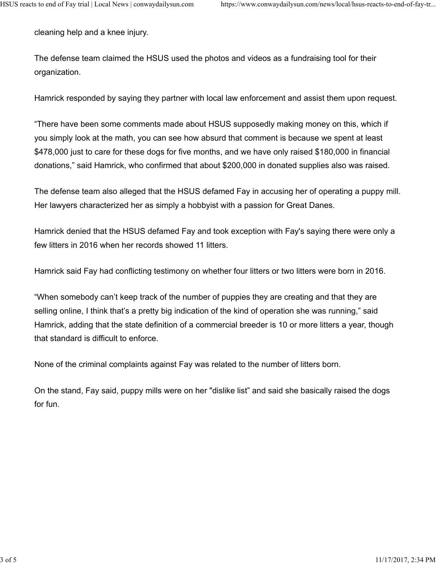cleaning help and a knee injury.

The defense team claimed the HSUS used the photos and videos as a fundraising tool for their organization.

Hamrick responded by saying they partner with local law enforcement and assist them upon request.

"There have been some comments made about HSUS supposedly making money on this, which if you simply look at the math, you can see how absurd that comment is because we spent at least \$478,000 just to care for these dogs for five months, and we have only raised \$180,000 in financial donations," said Hamrick, who confirmed that about \$200,000 in donated supplies also was raised.

The defense team also alleged that the HSUS defamed Fay in accusing her of operating a puppy mill. Her lawyers characterized her as simply a hobbyist with a passion for Great Danes.

Hamrick denied that the HSUS defamed Fay and took exception with Fay's saying there were only a few litters in 2016 when her records showed 11 litters.

Hamrick said Fay had conflicting testimony on whether four litters or two litters were born in 2016.

"When somebody can't keep track of the number of puppies they are creating and that they are selling online, I think that's a pretty big indication of the kind of operation she was running," said Hamrick, adding that the state definition of a commercial breeder is 10 or more litters a year, though that standard is difficult to enforce.

None of the criminal complaints against Fay was related to the number of litters born.

On the stand, Fay said, puppy mills were on her "dislike list" and said she basically raised the dogs for fun.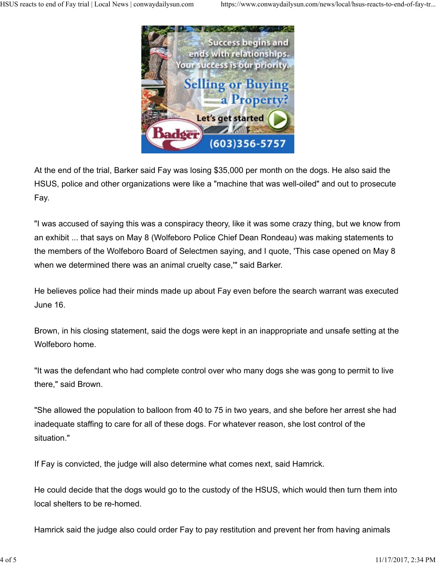

At the end of the trial, Barker said Fay was losing \$35,000 per month on the dogs. He also said the HSUS, police and other organizations were like a "machine that was well-oiled" and out to prosecute Fay.

"I was accused of saying this was a conspiracy theory, like it was some crazy thing, but we know from an exhibit ... that says on May 8 (Wolfeboro Police Chief Dean Rondeau) was making statements to the members of the Wolfeboro Board of Selectmen saying, and I quote, 'This case opened on May 8 when we determined there was an animal cruelty case,'" said Barker.

He believes police had their minds made up about Fay even before the search warrant was executed June 16.

Brown, in his closing statement, said the dogs were kept in an inappropriate and unsafe setting at the Wolfeboro home.

"It was the defendant who had complete control over who many dogs she was gong to permit to live there," said Brown.

"She allowed the population to balloon from 40 to 75 in two years, and she before her arrest she had inadequate staffing to care for all of these dogs. For whatever reason, she lost control of the situation."

If Fay is convicted, the judge will also determine what comes next, said Hamrick.

He could decide that the dogs would go to the custody of the HSUS, which would then turn them into local shelters to be re-homed.

Hamrick said the judge also could order Fay to pay restitution and prevent her from having animals